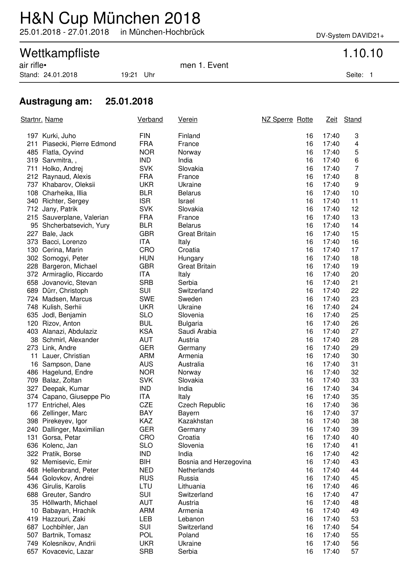## H&N Cup München 2018

25.01.2018 - 27.01.2018 in München-Hochbrück DV-System DAVID21+

# Wettkampfliste 1.10.10<br>
air rifle• 1.5 air rifle• 1.5 air rifle• 1.5 air rifle• 1.5 air rifle• 1.5 air rifle• 1.5 air rifle• 1.5 air rifle• 1.5 air rifle• 1.5 air rifle• 1.5 air rifle• 1.5 air rifle• 1.5 air rifle• 1.5 air

Stand: 24.01.2018 19:21 Uhr Seite: 1

men 1. Event

### **Austragung am: 25.01.2018**

| Startnr. Name |                                                 | Verband           | Verein                 | NZ Sperre Rotte |                | Zeit Stand     |
|---------------|-------------------------------------------------|-------------------|------------------------|-----------------|----------------|----------------|
|               | 197 Kurki, Juho                                 | <b>FIN</b>        | Finland                | 16              | 17:40          | 3              |
|               | 211 Piasecki, Pierre Edmond                     | <b>FRA</b>        | France                 | 16              | 17:40          | 4              |
|               | 485 Flatla, Oyvind                              | <b>NOR</b>        | Norway                 | 16              | 17:40          | 5              |
|               | 319 Sarvmitra,,                                 | <b>IND</b>        | India                  | 16              | 17:40          | 6              |
|               | 711 Holko, Andrej                               | <b>SVK</b>        | Slovakia               | 16              | 17:40          | $\overline{7}$ |
|               | 212 Raynaud, Alexis                             | <b>FRA</b>        | France                 | 16              | 17:40          | 8              |
|               | 737 Khabarov, Oleksii                           | <b>UKR</b>        | Ukraine                | 16              | 17:40          | 9              |
|               | 108 Charheika, Illia                            | <b>BLR</b>        | <b>Belarus</b>         | 16              | 17:40          | 10             |
|               | 340 Richter, Sergey                             | <b>ISR</b>        | Israel                 | 16              | 17:40          | 11             |
|               | 712 Jany, Patrik                                | <b>SVK</b>        | Slovakia               | 16              | 17:40          | 12             |
|               | 215 Sauverplane, Valerian                       | <b>FRA</b>        | France                 | 16              | 17:40          | 13             |
|               | 95 Shcherbatsevich, Yury                        | <b>BLR</b>        | <b>Belarus</b>         | 16              | 17:40          | 14             |
|               | 227 Bale, Jack                                  | <b>GBR</b>        | <b>Great Britain</b>   | 16              | 17:40          | 15             |
|               | 373 Bacci, Lorenzo                              | <b>ITA</b>        | Italy                  | 16              | 17:40          | 16             |
|               | 130 Cerina, Marin                               | CRO               | Croatia                | 16              | 17:40          | 17             |
|               | 302 Somogyi, Peter                              | <b>HUN</b>        | Hungary                | 16              | 17:40          | 18             |
|               | 228 Bargeron, Michael                           | <b>GBR</b>        | <b>Great Britain</b>   | 16              | 17:40          | 19             |
|               | 372 Armiraglio, Riccardo                        | <b>ITA</b>        | Italy                  | 16              | 17:40          | 20             |
|               | 658 Jovanovic, Stevan                           | <b>SRB</b>        | Serbia                 | 16              | 17:40          | 21             |
|               | 689 Dürr, Christoph                             | SUI               | Switzerland            | 16              | 17:40          | 22             |
|               | 724 Madsen, Marcus                              | <b>SWE</b>        | Sweden                 | 16              | 17:40          | 23             |
|               | 748 Kulish, Serhii                              | <b>UKR</b>        | Ukraine                | 16              | 17:40          | 24             |
|               | 635 Jodl, Benjamin                              | <b>SLO</b>        | Slovenia               | 16              | 17:40          | 25             |
|               | 120 Rizov, Anton                                | <b>BUL</b>        | <b>Bulgaria</b>        | 16              | 17:40          | 26             |
|               | 403 Alanazi, Abdulaziz                          | <b>KSA</b>        | Saudi Arabia           | 16              | 17:40          | 27             |
|               | 38 Schmirl, Alexander                           | AUT               | Austria                | 16              | 17:40          | 28             |
|               | 273 Link, Andre                                 | <b>GER</b>        | Germany                | 16              | 17:40          | 29             |
|               | 11 Lauer, Christian                             | <b>ARM</b>        | Armenia                | 16              | 17:40          | 30             |
|               | 16 Sampson, Dane                                | <b>AUS</b>        | Australia              | 16              | 17:40          | 31             |
|               | 486 Hagelund, Endre                             | <b>NOR</b>        | Norway                 | 16              | 17:40          | 32             |
|               | 709 Balaz, Zoltan                               | <b>SVK</b>        | Slovakia               | 16              | 17:40          | 33             |
|               | 327 Deepak, Kumar                               | <b>IND</b>        | India                  | 16              | 17:40          | 34             |
|               | 374 Capano, Giuseppe Pio<br>177 Entrichel, Ales | ITA<br><b>CZE</b> | Italy                  | 16<br>16        | 17:40          | 35             |
|               |                                                 | <b>BAY</b>        | <b>Czech Republic</b>  | 16              | 17:40<br>17:40 | 36<br>37       |
|               | 66 Zellinger, Marc<br>398 Pirekeyev, Igor       | KAZ               | Bayern<br>Kazakhstan   | 16              | 17:40          | 38             |
|               | 240 Dallinger, Maximilian                       | <b>GER</b>        | Germany                | 16              | 17:40          | 39             |
|               | 131 Gorsa, Petar                                | CRO               | Croatia                | 16              | 17:40          | 40             |
|               | 636 Kolenc, Jan                                 | <b>SLO</b>        | Slovenia               | 16              | 17:40          | 41             |
|               | 322 Pratik, Borse                               | <b>IND</b>        | India                  | 16              | 17:40          | 42             |
|               | 92 Memisevic, Emir                              | BIH               | Bosnia and Herzegovina | 16              | 17:40          | 43             |
|               | 468 Hellenbrand, Peter                          | <b>NED</b>        | Netherlands            | 16              | 17:40          | 44             |
|               | 544 Golovkov, Andrei                            | <b>RUS</b>        | Russia                 | 16              | 17:40          | 45             |
|               | 436 Girulis, Karolis                            | LTU               | Lithuania              | 16              | 17:40          | 46             |
|               | 688 Greuter, Sandro                             | SUI               | Switzerland            | 16              | 17:40          | 47             |
|               | 35 Höllwarth, Michael                           | <b>AUT</b>        | Austria                | 16              | 17:40          | 48             |
|               | 10 Babayan, Hrachik                             | <b>ARM</b>        | Armenia                | 16              | 17:40          | 49             |
|               | 419 Hazzouri, Zaki                              | LEB               | Lebanon                | 16              | 17:40          | 53             |
|               | 687 Lochbihler, Jan                             | SUI               | Switzerland            | 16              | 17:40          | 54             |
| 507           | Bartnik, Tomasz                                 | <b>POL</b>        | Poland                 | 16              | 17:40          | 55             |
|               | 749 Kolesnikov, Andrii                          | <b>UKR</b>        | Ukraine                | 16              | 17:40          | 56             |
| 657           | Kovacevic, Lazar                                | <b>SRB</b>        | Serbia                 | 16              | 17:40          | 57             |